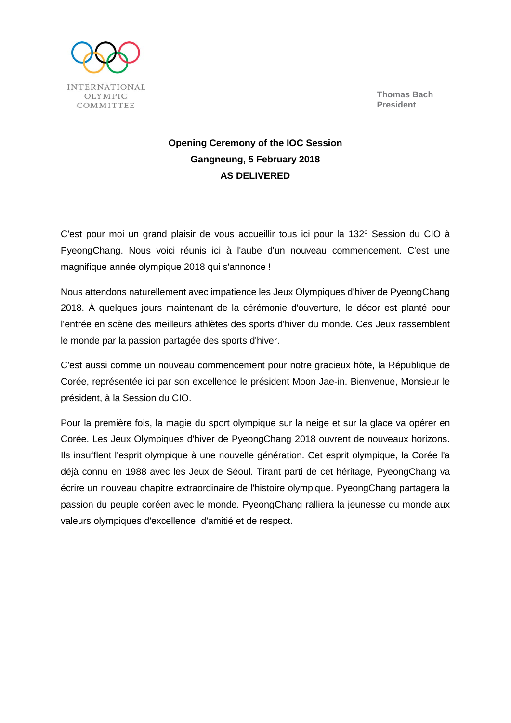**Thomas Bach President**



## **Opening Ceremony of the IOC Session Gangneung, 5 February 2018 AS DELIVERED**

C'est pour moi un grand plaisir de vous accueillir tous ici pour la 132<sup>e</sup> Session du CIO à PyeongChang. Nous voici réunis ici à l'aube d'un nouveau commencement. C'est une magnifique année olympique 2018 qui s'annonce !

Nous attendons naturellement avec impatience les Jeux Olympiques d'hiver de PyeongChang 2018. À quelques jours maintenant de la cérémonie d'ouverture, le décor est planté pour l'entrée en scène des meilleurs athlètes des sports d'hiver du monde. Ces Jeux rassemblent le monde par la passion partagée des sports d'hiver.

C'est aussi comme un nouveau commencement pour notre gracieux hôte, la République de Corée, représentée ici par son excellence le président Moon Jae-in. Bienvenue, Monsieur le président, à la Session du CIO.

Pour la première fois, la magie du sport olympique sur la neige et sur la glace va opérer en Corée. Les Jeux Olympiques d'hiver de PyeongChang 2018 ouvrent de nouveaux horizons. Ils insufflent l'esprit olympique à une nouvelle génération. Cet esprit olympique, la Corée l'a déjà connu en 1988 avec les Jeux de Séoul. Tirant parti de cet héritage, PyeongChang va écrire un nouveau chapitre extraordinaire de l'histoire olympique. PyeongChang partagera la passion du peuple coréen avec le monde. PyeongChang ralliera la jeunesse du monde aux valeurs olympiques d'excellence, d'amitié et de respect.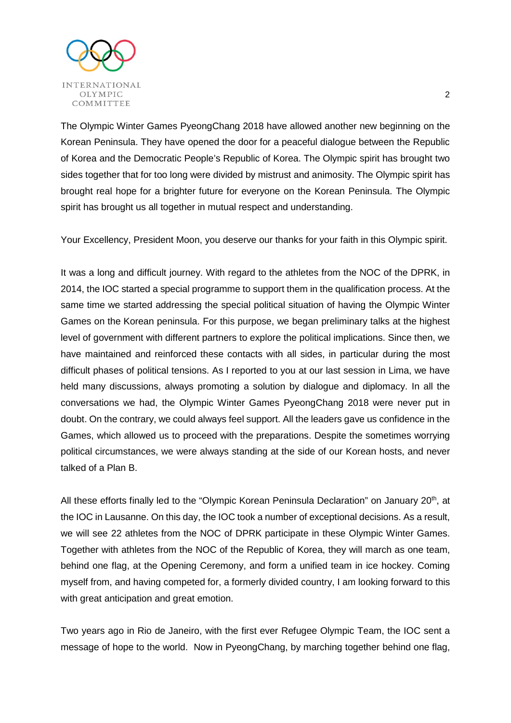

The Olympic Winter Games PyeongChang 2018 have allowed another new beginning on the Korean Peninsula. They have opened the door for a peaceful dialogue between the Republic of Korea and the Democratic People's Republic of Korea. The Olympic spirit has brought two sides together that for too long were divided by mistrust and animosity. The Olympic spirit has brought real hope for a brighter future for everyone on the Korean Peninsula. The Olympic spirit has brought us all together in mutual respect and understanding.

Your Excellency, President Moon, you deserve our thanks for your faith in this Olympic spirit.

It was a long and difficult journey. With regard to the athletes from the NOC of the DPRK, in 2014, the IOC started a special programme to support them in the qualification process. At the same time we started addressing the special political situation of having the Olympic Winter Games on the Korean peninsula. For this purpose, we began preliminary talks at the highest level of government with different partners to explore the political implications. Since then, we have maintained and reinforced these contacts with all sides, in particular during the most difficult phases of political tensions. As I reported to you at our last session in Lima, we have held many discussions, always promoting a solution by dialogue and diplomacy. In all the conversations we had, the Olympic Winter Games PyeongChang 2018 were never put in doubt. On the contrary, we could always feel support. All the leaders gave us confidence in the Games, which allowed us to proceed with the preparations. Despite the sometimes worrying political circumstances, we were always standing at the side of our Korean hosts, and never talked of a Plan B.

All these efforts finally led to the "Olympic Korean Peninsula Declaration" on January 20<sup>th</sup>, at the IOC in Lausanne. On this day, the IOC took a number of exceptional decisions. As a result, we will see 22 athletes from the NOC of DPRK participate in these Olympic Winter Games. Together with athletes from the NOC of the Republic of Korea, they will march as one team, behind one flag, at the Opening Ceremony, and form a unified team in ice hockey. Coming myself from, and having competed for, a formerly divided country, I am looking forward to this with great anticipation and great emotion.

Two years ago in Rio de Janeiro, with the first ever Refugee Olympic Team, the IOC sent a message of hope to the world. Now in PyeongChang, by marching together behind one flag,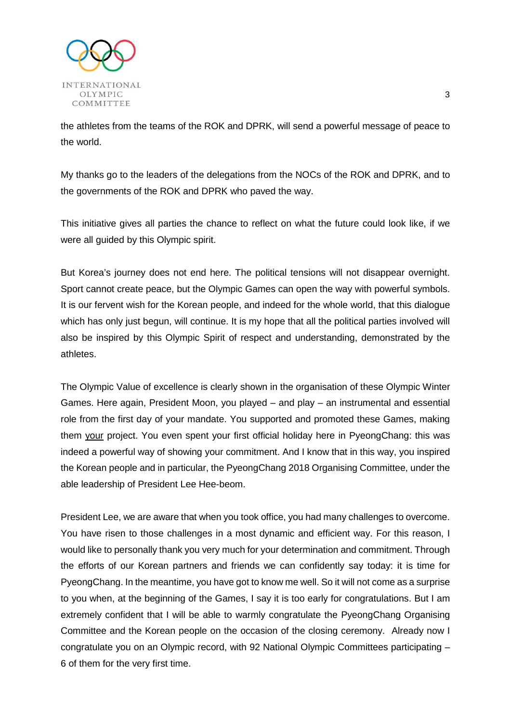

the athletes from the teams of the ROK and DPRK, will send a powerful message of peace to the world.

My thanks go to the leaders of the delegations from the NOCs of the ROK and DPRK, and to the governments of the ROK and DPRK who paved the way.

This initiative gives all parties the chance to reflect on what the future could look like, if we were all guided by this Olympic spirit.

But Korea's journey does not end here. The political tensions will not disappear overnight. Sport cannot create peace, but the Olympic Games can open the way with powerful symbols. It is our fervent wish for the Korean people, and indeed for the whole world, that this dialogue which has only just begun, will continue. It is my hope that all the political parties involved will also be inspired by this Olympic Spirit of respect and understanding, demonstrated by the athletes.

The Olympic Value of excellence is clearly shown in the organisation of these Olympic Winter Games. Here again, President Moon, you played – and play – an instrumental and essential role from the first day of your mandate. You supported and promoted these Games, making them your project. You even spent your first official holiday here in PyeongChang: this was indeed a powerful way of showing your commitment. And I know that in this way, you inspired the Korean people and in particular, the PyeongChang 2018 Organising Committee, under the able leadership of President Lee Hee-beom.

President Lee, we are aware that when you took office, you had many challenges to overcome. You have risen to those challenges in a most dynamic and efficient way. For this reason, I would like to personally thank you very much for your determination and commitment. Through the efforts of our Korean partners and friends we can confidently say today: it is time for PyeongChang. In the meantime, you have got to know me well. So it will not come as a surprise to you when, at the beginning of the Games, I say it is too early for congratulations. But I am extremely confident that I will be able to warmly congratulate the PyeongChang Organising Committee and the Korean people on the occasion of the closing ceremony. Already now I congratulate you on an Olympic record, with 92 National Olympic Committees participating – 6 of them for the very first time.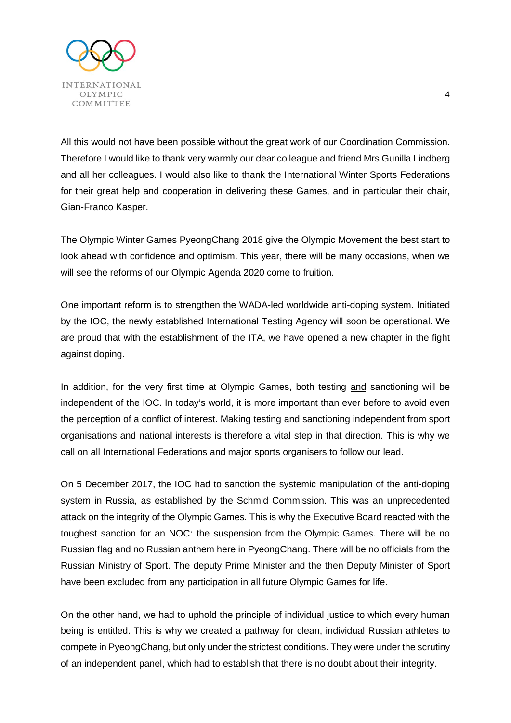

All this would not have been possible without the great work of our Coordination Commission. Therefore I would like to thank very warmly our dear colleague and friend Mrs Gunilla Lindberg and all her colleagues. I would also like to thank the International Winter Sports Federations for their great help and cooperation in delivering these Games, and in particular their chair, Gian-Franco Kasper.

The Olympic Winter Games PyeongChang 2018 give the Olympic Movement the best start to look ahead with confidence and optimism. This year, there will be many occasions, when we will see the reforms of our Olympic Agenda 2020 come to fruition.

One important reform is to strengthen the WADA-led worldwide anti-doping system. Initiated by the IOC, the newly established International Testing Agency will soon be operational. We are proud that with the establishment of the ITA, we have opened a new chapter in the fight against doping.

In addition, for the very first time at Olympic Games, both testing and sanctioning will be independent of the IOC. In today's world, it is more important than ever before to avoid even the perception of a conflict of interest. Making testing and sanctioning independent from sport organisations and national interests is therefore a vital step in that direction. This is why we call on all International Federations and major sports organisers to follow our lead.

On 5 December 2017, the IOC had to sanction the systemic manipulation of the anti-doping system in Russia, as established by the Schmid Commission. This was an unprecedented attack on the integrity of the Olympic Games. This is why the Executive Board reacted with the toughest sanction for an NOC: the suspension from the Olympic Games. There will be no Russian flag and no Russian anthem here in PyeongChang. There will be no officials from the Russian Ministry of Sport. The deputy Prime Minister and the then Deputy Minister of Sport have been excluded from any participation in all future Olympic Games for life.

On the other hand, we had to uphold the principle of individual justice to which every human being is entitled. This is why we created a pathway for clean, individual Russian athletes to compete in PyeongChang, but only under the strictest conditions. They were under the scrutiny of an independent panel, which had to establish that there is no doubt about their integrity.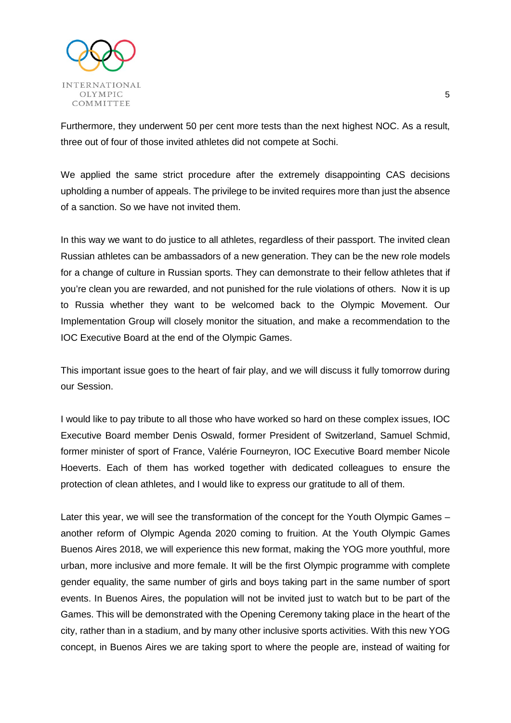

Furthermore, they underwent 50 per cent more tests than the next highest NOC. As a result, three out of four of those invited athletes did not compete at Sochi.

We applied the same strict procedure after the extremely disappointing CAS decisions upholding a number of appeals. The privilege to be invited requires more than just the absence of a sanction. So we have not invited them.

In this way we want to do justice to all athletes, regardless of their passport. The invited clean Russian athletes can be ambassadors of a new generation. They can be the new role models for a change of culture in Russian sports. They can demonstrate to their fellow athletes that if you're clean you are rewarded, and not punished for the rule violations of others. Now it is up to Russia whether they want to be welcomed back to the Olympic Movement. Our Implementation Group will closely monitor the situation, and make a recommendation to the IOC Executive Board at the end of the Olympic Games.

This important issue goes to the heart of fair play, and we will discuss it fully tomorrow during our Session.

I would like to pay tribute to all those who have worked so hard on these complex issues, IOC Executive Board member Denis Oswald, former President of Switzerland, Samuel Schmid, former minister of sport of France, Valérie Fourneyron, IOC Executive Board member Nicole Hoeverts. Each of them has worked together with dedicated colleagues to ensure the protection of clean athletes, and I would like to express our gratitude to all of them.

Later this year, we will see the transformation of the concept for the Youth Olympic Games – another reform of Olympic Agenda 2020 coming to fruition. At the Youth Olympic Games Buenos Aires 2018, we will experience this new format, making the YOG more youthful, more urban, more inclusive and more female. It will be the first Olympic programme with complete gender equality, the same number of girls and boys taking part in the same number of sport events. In Buenos Aires, the population will not be invited just to watch but to be part of the Games. This will be demonstrated with the Opening Ceremony taking place in the heart of the city, rather than in a stadium, and by many other inclusive sports activities. With this new YOG concept, in Buenos Aires we are taking sport to where the people are, instead of waiting for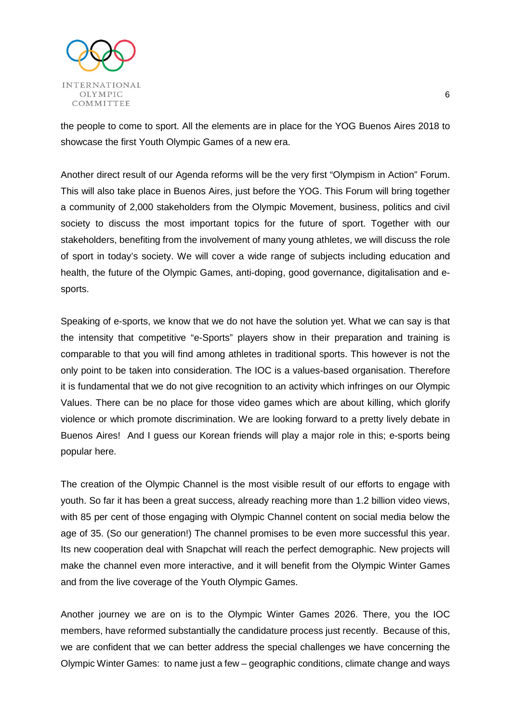

the people to come to sport. All the elements are in place for the YOG Buenos Aires 2018 to showcase the first Youth Olympic Games of a new era.

Another direct result of our Agenda reforms will be the very first "Olympism in Action" Forum. This will also take place in Buenos Aires, just before the YOG. This Forum will bring together a community of 2,000 stakeholders from the Olympic Movement, business, politics and civil society to discuss the most important topics for the future of sport. Together with our stakeholders, benefiting from the involvement of many young athletes, we will discuss the role of sport in today's society. We will cover a wide range of subjects including education and health, the future of the Olympic Games, anti-doping, good governance, digitalisation and esports.

Speaking of e-sports, we know that we do not have the solution yet. What we can say is that the intensity that competitive "e-Sports" players show in their preparation and training is comparable to that you will find among athletes in traditional sports. This however is not the only point to be taken into consideration. The IOC is a values-based organisation. Therefore it is fundamental that we do not give recognition to an activity which infringes on our Olympic Values. There can be no place for those video games which are about killing, which glorify violence or which promote discrimination. We are looking forward to a pretty lively debate in Buenos Aires! And I guess our Korean friends will play a major role in this; e-sports being popular here.

The creation of the Olympic Channel is the most visible result of our efforts to engage with youth. So far it has been a great success, already reaching more than 1.2 billion video views, with 85 per cent of those engaging with Olympic Channel content on social media below the age of 35. (So our generation!) The channel promises to be even more successful this year. Its new cooperation deal with Snapchat will reach the perfect demographic. New projects will make the channel even more interactive, and it will benefit from the Olympic Winter Games and from the live coverage of the Youth Olympic Games.

Another journey we are on is to the Olympic Winter Games 2026. There, you the IOC members, have reformed substantially the candidature process just recently. Because of this, we are confident that we can better address the special challenges we have concerning the Olympic Winter Games: to name just a few – geographic conditions, climate change and ways